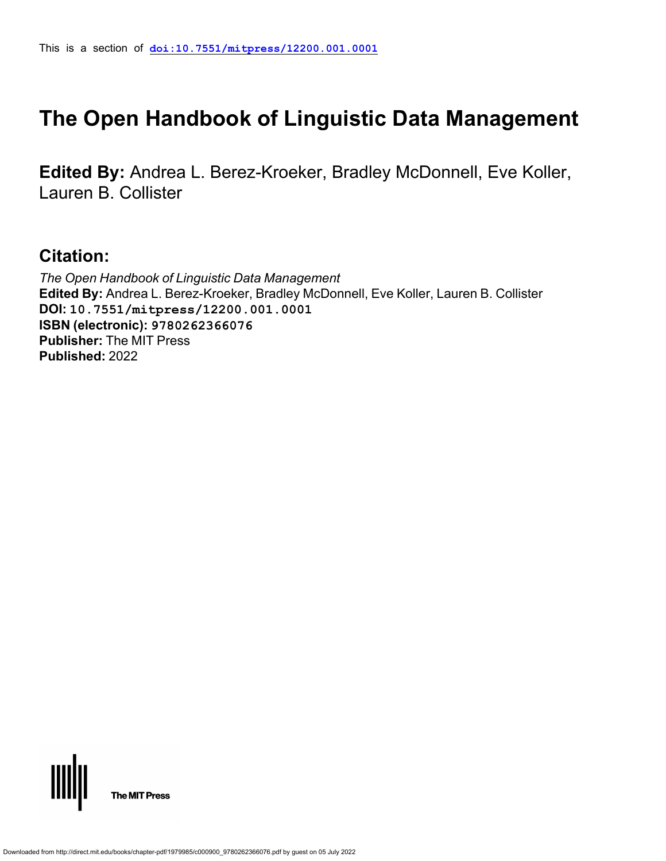# **The Open Handbook of Linguistic Data Management**

**Edited By:** Andrea L. Berez-Kroeker, Bradley McDonnell, Eve Koller, Lauren B. Collister

# **Citation:**

*The Open Handbook of Linguistic Data Management* **Edited By:** Andrea L. Berez-Kroeker, Bradley McDonnell, Eve Koller, Lauren B. Collister **DOI: 10.7551/mitpress/12200.001.0001 ISBN (electronic): 9780262366076 Publisher:** The MIT Press **Published:** 2022



**The MIT Press**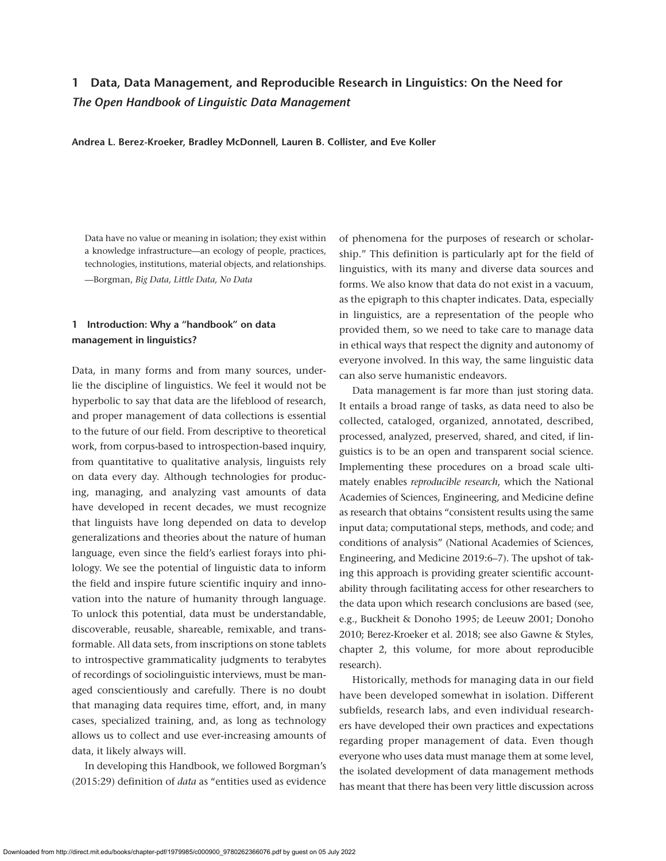## **1 Data, Data Management, and Reproducible Research in Linguistics: On the Need for**  *The Open Handbook of Linguistic Data Management*

**Andrea L. Berez-Kroeker, Bradley McDonnell, Lauren B. Collister, and Eve Koller**

Data have no value or meaning in isolation; they exist within a knowledge infrastructure—an ecology of people, practices, technologies, institutions, material objects, and relationships. —Borgman, *Big Data, Little Data, No Data*

### **1 Introduction: Why a "handbook" on data management in linguistics?**

Data, in many forms and from many sources, underlie the discipline of linguistics. We feel it would not be hyperbolic to say that data are the lifeblood of research, and proper management of data collections is essential to the future of our field. From descriptive to theoretical work, from corpus-based to introspection-based inquiry, from quantitative to qualitative analysis, linguists rely on data every day. Although technologies for producing, managing, and analyzing vast amounts of data have developed in recent decades, we must recognize that linguists have long depended on data to develop generalizations and theories about the nature of human language, even since the field's earliest forays into philology. We see the potential of linguistic data to inform the field and inspire future scientific inquiry and innovation into the nature of humanity through language. To unlock this potential, data must be understandable, discoverable, reusable, shareable, remixable, and transformable. All data sets, from inscriptions on stone tablets to introspective grammaticality judgments to terabytes of recordings of sociolinguistic interviews, must be managed conscientiously and carefully. There is no doubt that managing data requires time, effort, and, in many cases, specialized training, and, as long as technology allows us to collect and use ever-increasing amounts of data, it likely always will.

In developing this Handbook, we followed Borgman's (2015:29) definition of *data* as "entities used as evidence of phenomena for the purposes of research or scholarship." This definition is particularly apt for the field of linguistics, with its many and diverse data sources and forms. We also know that data do not exist in a vacuum, as the epigraph to this chapter indicates. Data, especially in linguistics, are a representation of the people who provided them, so we need to take care to manage data in ethical ways that respect the dignity and autonomy of everyone involved. In this way, the same linguistic data can also serve humanistic endeavors.

Data management is far more than just storing data. It entails a broad range of tasks, as data need to also be collected, cataloged, organized, annotated, described, processed, analyzed, preserved, shared, and cited, if linguistics is to be an open and transparent social science. Implementing these procedures on a broad scale ultimately enables *reproducible research*, which the National Academies of Sciences, Engineering, and Medicine define as research that obtains "consistent results using the same input data; computational steps, methods, and code; and conditions of analysis" (National Academies of Sciences, Engineering, and Medicine 2019:6–7). The upshot of taking this approach is providing greater scientific accountability through facilitating access for other researchers to the data upon which research conclusions are based (see, e.g., Buckheit & Donoho 1995; de Leeuw 2001; Donoho 2010; Berez-Kroeker et al. 2018; see also Gawne & Styles, chapter 2, this volume, for more about reproducible research).

Historically, methods for managing data in our field have been developed somewhat in isolation. Different subfields, research labs, and even individual researchers have developed their own practices and expectations regarding proper management of data. Even though everyone who uses data must manage them at some level, the isolated development of data management methods has meant that there has been very little discussion across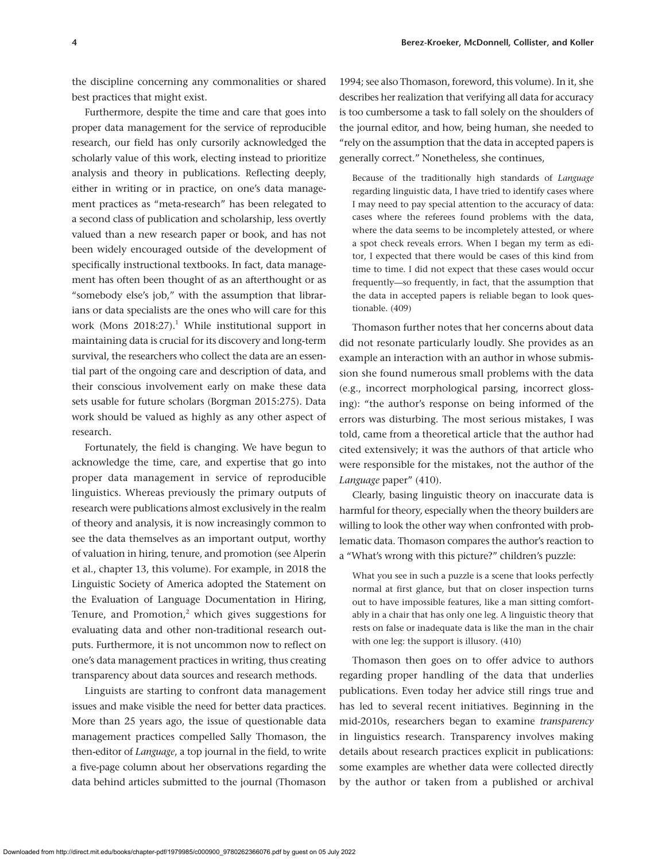the discipline concerning any commonalities or shared best practices that might exist.

Furthermore, despite the time and care that goes into proper data management for the service of reproducible research, our field has only cursorily acknowledged the scholarly value of this work, electing instead to prioritize analysis and theory in publications. Reflecting deeply, either in writing or in practice, on one's data management practices as "meta-research" has been relegated to a second class of publication and scholarship, less overtly valued than a new research paper or book, and has not been widely encouraged outside of the development of specifically instructional textbooks. In fact, data management has often been thought of as an afterthought or as "somebody else's job," with the assumption that librarians or data specialists are the ones who will care for this work (Mons  $2018:27$ ).<sup>1</sup> While institutional support in maintaining data is crucial for its discovery and long-term survival, the researchers who collect the data are an essential part of the ongoing care and description of data, and their conscious involvement early on make these data sets usable for future scholars (Borgman 2015:275). Data work should be valued as highly as any other aspect of research.

Fortunately, the field is changing. We have begun to acknowledge the time, care, and expertise that go into proper data management in service of reproducible linguistics. Whereas previously the primary outputs of research were publications almost exclusively in the realm of theory and analysis, it is now increasingly common to see the data themselves as an important output, worthy of valuation in hiring, tenure, and promotion (see Alperin et al., chapter 13, this volume). For example, in 2018 the Linguistic Society of America adopted the Statement on the Evaluation of Language Documentation in Hiring, Tenure, and Promotion, $2$  which gives suggestions for evaluating data and other non-traditional research outputs. Furthermore, it is not uncommon now to reflect on one's data management practices in writing, thus creating transparency about data sources and research methods.

Linguists are starting to confront data management issues and make visible the need for better data practices. More than 25 years ago, the issue of questionable data management practices compelled Sally Thomason, the then-editor of *Language*, a top journal in the field, to write a five-page column about her observations regarding the data behind articles submitted to the journal (Thomason 1994; see also Thomason, foreword, this volume). In it, she describes her realization that verifying all data for accuracy is too cumbersome a task to fall solely on the shoulders of the journal editor, and how, being human, she needed to "rely on the assumption that the data in accepted papers is generally correct." Nonetheless, she continues,

Because of the traditionally high standards of *Language* regarding linguistic data, I have tried to identify cases where I may need to pay special attention to the accuracy of data: cases where the referees found problems with the data, where the data seems to be incompletely attested, or where a spot check reveals errors. When I began my term as editor, I expected that there would be cases of this kind from time to time. I did not expect that these cases would occur frequently—so frequently, in fact, that the assumption that the data in accepted papers is reliable began to look questionable. (409)

Thomason further notes that her concerns about data did not resonate particularly loudly. She provides as an example an interaction with an author in whose submission she found numerous small problems with the data (e.g., incorrect morphological parsing, incorrect glossing): "the author's response on being informed of the errors was disturbing. The most serious mistakes, I was told, came from a theoretical article that the author had cited extensively; it was the authors of that article who were responsible for the mistakes, not the author of the *Language* paper" (410).

Clearly, basing linguistic theory on inaccurate data is harmful for theory, especially when the theory builders are willing to look the other way when confronted with problematic data. Thomason compares the author's reaction to a "What's wrong with this picture?" children's puzzle:

What you see in such a puzzle is a scene that looks perfectly normal at first glance, but that on closer inspection turns out to have impossible features, like a man sitting comfortably in a chair that has only one leg. A linguistic theory that rests on false or inadequate data is like the man in the chair with one leg: the support is illusory. (410)

Thomason then goes on to offer advice to authors regarding proper handling of the data that underlies publications. Even today her advice still rings true and has led to several recent initiatives. Beginning in the mid-2010s, researchers began to examine *transparency* in linguistics research. Transparency involves making details about research practices explicit in publications: some examples are whether data were collected directly by the author or taken from a published or archival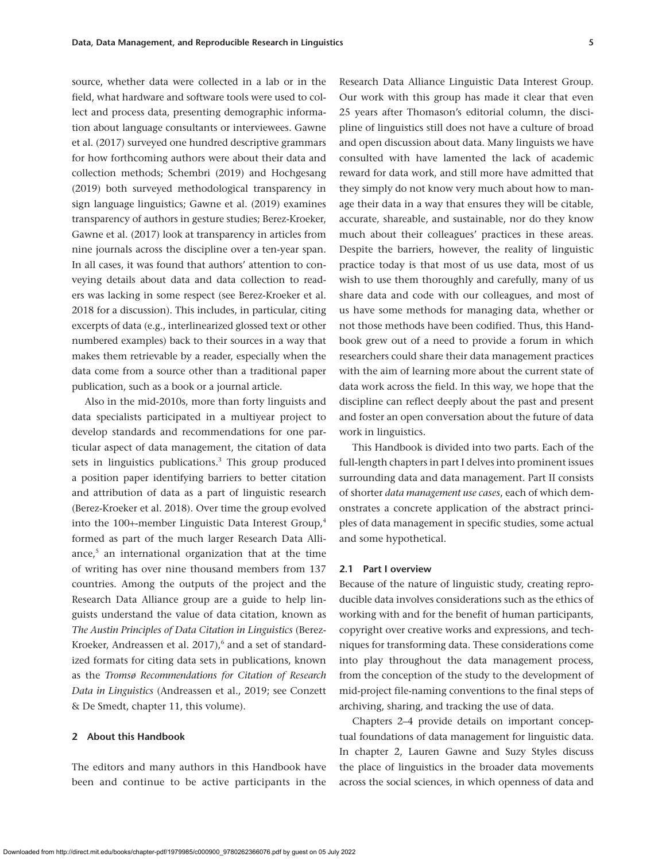source, whether data were collected in a lab or in the field, what hardware and software tools were used to collect and process data, presenting demographic information about language consultants or interviewees. Gawne et al. (2017) surveyed one hundred descriptive grammars for how forthcoming authors were about their data and collection methods; Schembri (2019) and Hochgesang (2019) both surveyed methodological transparency in sign language linguistics; Gawne et al. (2019) examines transparency of authors in gesture studies; Berez-Kroeker, Gawne et al. (2017) look at transparency in articles from nine journals across the discipline over a ten-year span. In all cases, it was found that authors' attention to conveying details about data and data collection to readers was lacking in some respect (see Berez-Kroeker et al. 2018 for a discussion). This includes, in particular, citing excerpts of data (e.g., interlinearized glossed text or other numbered examples) back to their sources in a way that makes them retrievable by a reader, especially when the data come from a source other than a traditional paper publication, such as a book or a journal article.

Also in the mid-2010s, more than forty linguists and data specialists participated in a multiyear project to develop standards and recommendations for one particular aspect of data management, the citation of data sets in linguistics publications.<sup>3</sup> This group produced a position paper identifying barriers to better citation and attribution of data as a part of linguistic research (Berez-Kroeker et al. 2018). Over time the group evolved into the 100+-member Linguistic Data Interest Group,<sup>4</sup> formed as part of the much larger Research Data Alliance,<sup>5</sup> an international organization that at the time of writing has over nine thousand members from 137 countries. Among the outputs of the project and the Research Data Alliance group are a guide to help linguists understand the value of data citation, known as *The Austin Principles of Data Citation in Linguistics* (Berez-Kroeker, Andreassen et al. 2017),<sup>6</sup> and a set of standardized formats for citing data sets in publications, known as the *Tromsø Recommendations for Citation of Research Data in Linguistics* (Andreassen et al., 2019; see Conzett & De Smedt, chapter 11, this volume).

### **2 About this Handbook**

The editors and many authors in this Handbook have been and continue to be active participants in the

Research Data Alliance Linguistic Data Interest Group. Our work with this group has made it clear that even 25 years after Thomason's editorial column, the discipline of linguistics still does not have a culture of broad and open discussion about data. Many linguists we have consulted with have lamented the lack of academic reward for data work, and still more have admitted that they simply do not know very much about how to manage their data in a way that ensures they will be citable, accurate, shareable, and sustainable, nor do they know much about their colleagues' practices in these areas. Despite the barriers, however, the reality of linguistic practice today is that most of us use data, most of us wish to use them thoroughly and carefully, many of us share data and code with our colleagues, and most of us have some methods for managing data, whether or not those methods have been codified. Thus, this Handbook grew out of a need to provide a forum in which researchers could share their data management practices with the aim of learning more about the current state of data work across the field. In this way, we hope that the discipline can reflect deeply about the past and present and foster an open conversation about the future of data work in linguistics.

This Handbook is divided into two parts. Each of the full-length chapters in part I delves into prominent issues surrounding data and data management. Part II consists of shorter *data management use cases*, each of which demonstrates a concrete application of the abstract principles of data management in specific studies, some actual and some hypothetical.

#### **2.1 Part I overview**

Because of the nature of linguistic study, creating reproducible data involves considerations such as the ethics of working with and for the benefit of human participants, copyright over creative works and expressions, and techniques for transforming data. These considerations come into play throughout the data management process, from the conception of the study to the development of mid-project file-naming conventions to the final steps of archiving, sharing, and tracking the use of data.

Chapters 2–4 provide details on important conceptual foundations of data management for linguistic data. In chapter 2, Lauren Gawne and Suzy Styles discuss the place of linguistics in the broader data movements across the social sciences, in which openness of data and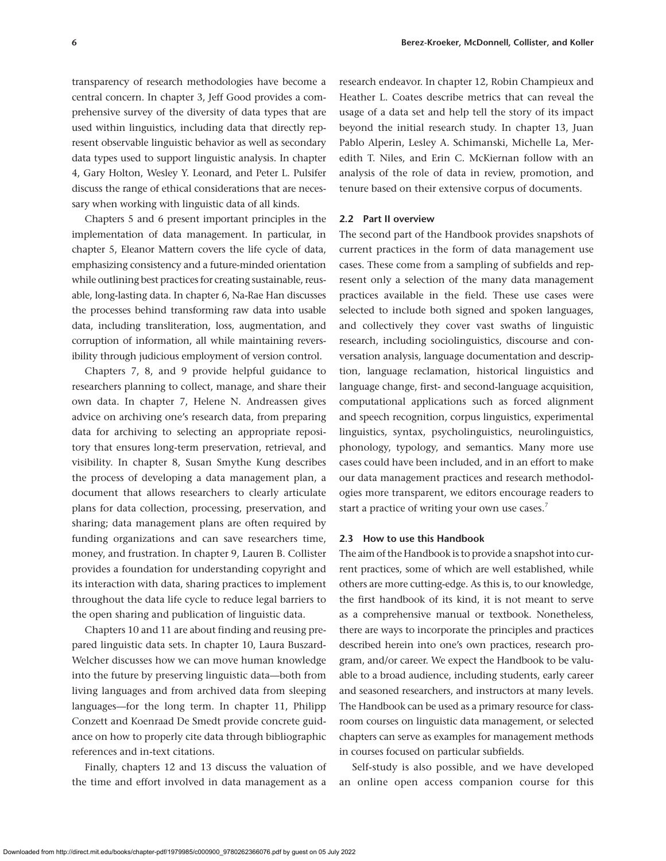transparency of research methodologies have become a central concern. In chapter 3, Jeff Good provides a comprehensive survey of the diversity of data types that are used within linguistics, including data that directly represent observable linguistic behavior as well as secondary data types used to support linguistic analysis. In chapter 4, Gary Holton, Wesley Y. Leonard, and Peter L. Pulsifer discuss the range of ethical considerations that are necessary when working with linguistic data of all kinds.

Chapters 5 and 6 present important principles in the implementation of data management. In particular, in chapter 5, Eleanor Mattern covers the life cycle of data, emphasizing consistency and a future-minded orientation while outlining best practices for creating sustainable, reusable, long-lasting data. In chapter 6, Na-Rae Han discusses the processes behind transforming raw data into usable data, including transliteration, loss, augmentation, and corruption of information, all while maintaining reversibility through judicious employment of version control.

Chapters 7, 8, and 9 provide helpful guidance to researchers planning to collect, manage, and share their own data. In chapter 7, Helene N. Andreassen gives advice on archiving one's research data, from preparing data for archiving to selecting an appropriate repository that ensures long-term preservation, retrieval, and visibility. In chapter 8, Susan Smythe Kung describes the process of developing a data management plan, a document that allows researchers to clearly articulate plans for data collection, processing, preservation, and sharing; data management plans are often required by funding organizations and can save researchers time, money, and frustration. In chapter 9, Lauren B. Collister provides a foundation for understanding copyright and its interaction with data, sharing practices to implement throughout the data life cycle to reduce legal barriers to the open sharing and publication of linguistic data.

Chapters 10 and 11 are about finding and reusing prepared linguistic data sets. In chapter 10, Laura Buszard-Welcher discusses how we can move human knowledge into the future by preserving linguistic data—both from living languages and from archived data from sleeping languages—for the long term. In chapter 11, Philipp Conzett and Koenraad De Smedt provide concrete guidance on how to properly cite data through bibliographic references and in-text citations.

Finally, chapters 12 and 13 discuss the valuation of the time and effort involved in data management as a

research endeavor. In chapter 12, Robin Champieux and Heather L. Coates describe metrics that can reveal the usage of a data set and help tell the story of its impact beyond the initial research study. In chapter 13, Juan Pablo Alperin, Lesley A. Schimanski, Michelle La, Meredith T. Niles, and Erin C. McKiernan follow with an analysis of the role of data in review, promotion, and tenure based on their extensive corpus of documents.

#### **2.2 Part II overview**

The second part of the Handbook provides snapshots of current practices in the form of data management use cases. These come from a sampling of subfields and represent only a selection of the many data management practices available in the field. These use cases were selected to include both signed and spoken languages, and collectively they cover vast swaths of linguistic research, including sociolinguistics, discourse and conversation analysis, language documentation and description, language reclamation, historical linguistics and language change, first- and second-language acquisition, computational applications such as forced alignment and speech recognition, corpus linguistics, experimental linguistics, syntax, psycholinguistics, neurolinguistics, phonology, typology, and semantics. Many more use cases could have been included, and in an effort to make our data management practices and research methodologies more transparent, we editors encourage readers to start a practice of writing your own use cases.<sup>7</sup>

#### **2.3 How to use this Handbook**

The aim of the Handbook is to provide a snapshot into current practices, some of which are well established, while others are more cutting-edge. As this is, to our knowledge, the first handbook of its kind, it is not meant to serve as a comprehensive manual or textbook. Nonetheless, there are ways to incorporate the principles and practices described herein into one's own practices, research program, and/or career. We expect the Handbook to be valuable to a broad audience, including students, early career and seasoned researchers, and instructors at many levels. The Handbook can be used as a primary resource for classroom courses on linguistic data management, or selected chapters can serve as examples for management methods in courses focused on particular subfields.

Self-study is also possible, and we have developed an online open access companion course for this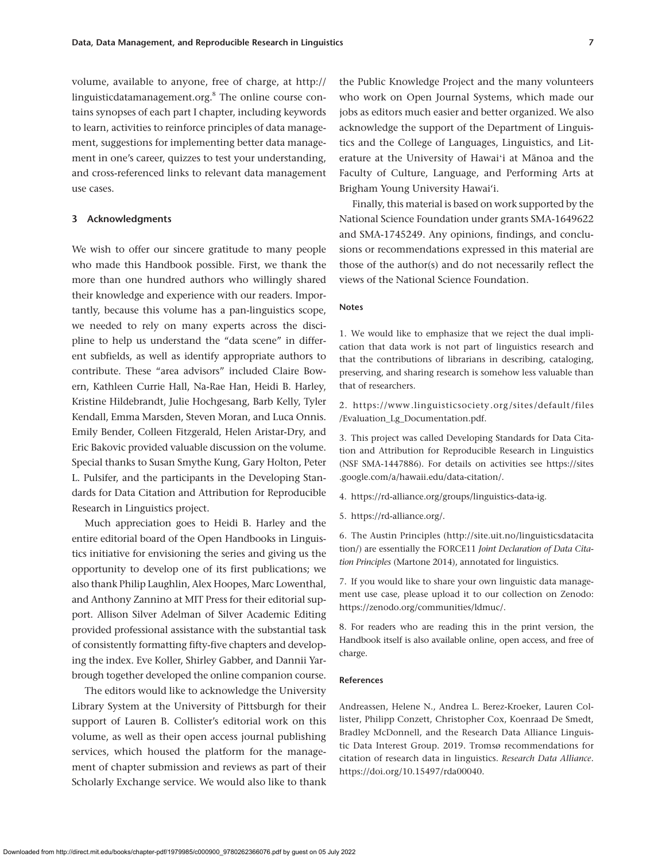volume, available to anyone, free of charge, at [http://](http://linguisticdatamanagement.org.8) [linguisticdatamanagement.org.](http://linguisticdatamanagement.org.8) 8 The online course contains synopses of each part I chapter, including keywords to learn, activities to reinforce principles of data management, suggestions for implementing better data management in one's career, quizzes to test your understanding, and cross-referenced links to relevant data management use cases.

#### **3 Acknowledgments**

We wish to offer our sincere gratitude to many people who made this Handbook possible. First, we thank the more than one hundred authors who willingly shared their knowledge and experience with our readers. Importantly, because this volume has a pan-linguistics scope, we needed to rely on many experts across the discipline to help us understand the "data scene" in different subfields, as well as identify appropriate authors to contribute. These "area advisors" included Claire Bowern, Kathleen Currie Hall, Na-Rae Han, Heidi B. Harley, Kristine Hildebrandt, Julie Hochgesang, Barb Kelly, Tyler Kendall, Emma Marsden, Steven Moran, and Luca Onnis. Emily Bender, Colleen Fitzgerald, Helen Aristar-Dry, and Eric Bakovic provided valuable discussion on the volume. Special thanks to Susan Smythe Kung, Gary Holton, Peter L. Pulsifer, and the participants in the Developing Standards for Data Citation and Attribution for Reproducible Research in Linguistics project.

Much appreciation goes to Heidi B. Harley and the entire editorial board of the Open Handbooks in Linguistics initiative for envisioning the series and giving us the opportunity to develop one of its first publications; we also thank Philip Laughlin, Alex Hoopes, Marc Lowenthal, and Anthony Zannino at MIT Press for their editorial support. Allison Silver Adelman of Silver Academic Editing provided professional assistance with the substantial task of consistently formatting fifty-five chapters and developing the index. Eve Koller, Shirley Gabber, and Dannii Yarbrough together developed the online companion course.

The editors would like to acknowledge the University Library System at the University of Pittsburgh for their support of Lauren B. Collister's editorial work on this volume, as well as their open access journal publishing services, which housed the platform for the management of chapter submission and reviews as part of their Scholarly Exchange service. We would also like to thank the Public Knowledge Project and the many volunteers who work on Open Journal Systems, which made our jobs as editors much easier and better organized. We also acknowledge the support of the Department of Linguistics and the College of Languages, Linguistics, and Literature at the University of Hawaiʻi at Mānoa and the Faculty of Culture, Language, and Performing Arts at Brigham Young University Hawai'i.

Finally, this material is based on work supported by the National Science Foundation under grants SMA-1649622 and SMA-1745249. Any opinions, findings, and conclusions or recommendations expressed in this material are those of the author(s) and do not necessarily reflect the views of the National Science Foundation.

#### **Notes**

1. We would like to emphasize that we reject the dual implication that data work is not part of linguistics research and that the contributions of librarians in describing, cataloging, preserving, and sharing research is somehow less valuable than that of researchers.

2. [https://www.linguisticsociety.org](https://www.linguisticsociety.org/sites/default/files/Evaluation_Lg_Documentation.pdf) /sites /default/files [/Evaluation\\_Lg\\_Documentation.pdf](https://www.linguisticsociety.org/sites/default/files/Evaluation_Lg_Documentation.pdf).

3. This project was called Developing Standards for Data Citation and Attribution for Reproducible Research in Linguistics (NSF SMA-1447886). For details on activities see [https://sites](https://sites.google.com/a/hawaii.edu/data-citation/) [.google.com/a/hawaii.edu/data-citation/](https://sites.google.com/a/hawaii.edu/data-citation/).

4. [https://rd-alliance.org/groups/linguistics-data-ig.](https://rd-alliance.org/groups/linguistics-data-ig)

5. <https://rd-alliance.org/>.

6. The Austin Principles ([http://site.uit.no/linguisticsdatacita](http://site.uit.no/linguisticsdatacitation/) [tion/](http://site.uit.no/linguisticsdatacitation/)) are essentially the FORCE11 *Joint Declaration of Data Citation Principles* (Martone 2014), annotated for linguistics.

7. If you would like to share your own linguistic data management use case, please upload it to our collection on Zenodo: [https://zenodo.org/communities/ldmuc/.](https://zenodo.org/communities/ldmuc/)

8. For readers who are reading this in the print version, the Handbook itself is also available online, open access, and free of charge.

#### **References**

Andreassen, Helene N., Andrea L. Berez-Kroeker, Lauren Collister, Philipp Conzett, Christopher Cox, Koenraad De Smedt, Bradley McDonnell, and the Research Data Alliance Linguistic Data Interest Group. 2019. Tromsø recommendations for citation of research data in linguistics. *Research Data Alliance.* <https://doi.org/10.15497/rda00040>.